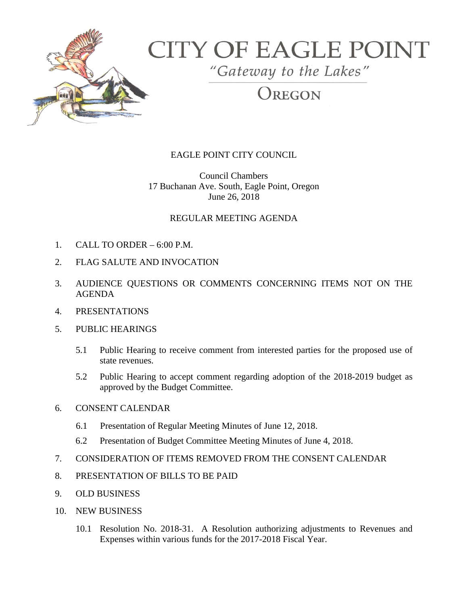

# **CITY OF EAGLE POINT**

"Gateway to the Lakes"

REGON

## EAGLE POINT CITY COUNCIL

Council Chambers 17 Buchanan Ave. South, Eagle Point, Oregon June 26, 2018

## REGULAR MEETING AGENDA

- 1. CALL TO ORDER 6:00 P.M.
- 2. FLAG SALUTE AND INVOCATION
- 3. AUDIENCE QUESTIONS OR COMMENTS CONCERNING ITEMS NOT ON THE AGENDA
- 4. PRESENTATIONS
- 5. PUBLIC HEARINGS
	- 5.1 Public Hearing to receive comment from interested parties for the proposed use of state revenues.
	- 5.2 Public Hearing to accept comment regarding adoption of the 2018-2019 budget as approved by the Budget Committee.

### 6. CONSENT CALENDAR

- 6.1 Presentation of Regular Meeting Minutes of June 12, 2018.
- 6.2 Presentation of Budget Committee Meeting Minutes of June 4, 2018.
- 7. CONSIDERATION OF ITEMS REMOVED FROM THE CONSENT CALENDAR
- 8. PRESENTATION OF BILLS TO BE PAID
- 9. OLD BUSINESS
- 10. NEW BUSINESS
	- 10.1 Resolution No. 2018-31. A Resolution authorizing adjustments to Revenues and Expenses within various funds for the 2017-2018 Fiscal Year.